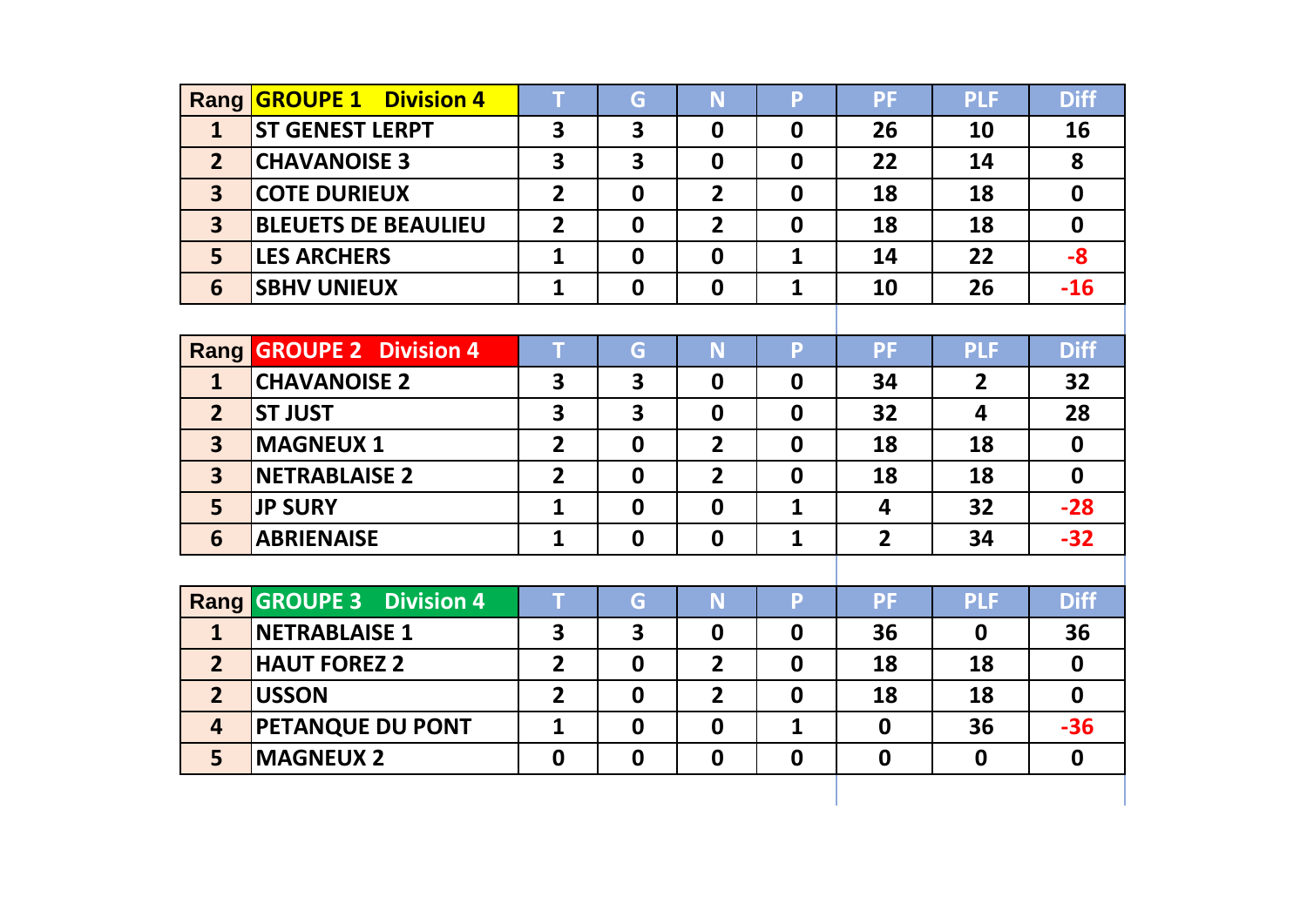|                         | Rang <b>GROUPE 1</b> Division 4           | T                       | G                | N              | P            | <b>PF</b>               | <b>PLF</b>              | <b>Diff</b>      |
|-------------------------|-------------------------------------------|-------------------------|------------------|----------------|--------------|-------------------------|-------------------------|------------------|
| $\mathbf{1}$            | <b>ST GENEST LERPT</b>                    | $\overline{\mathbf{3}}$ | 3                | $\mathbf 0$    | $\mathbf 0$  | 26                      | 10                      | 16               |
| 2 <sup>2</sup>          | <b>CHAVANOISE 3</b>                       | $\overline{\mathbf{3}}$ | 3                | $\mathbf 0$    | $\mathbf 0$  | 22                      | 14                      | 8                |
| $\overline{\mathbf{3}}$ | <b>COTE DURIEUX</b>                       | $\overline{2}$          | $\mathbf 0$      | $\overline{2}$ | $\mathbf 0$  | 18                      | 18                      | $\mathbf 0$      |
| $\overline{\mathbf{3}}$ | <b>BLEUETS DE BEAULIEU</b>                | $\overline{2}$          | $\mathbf 0$      | $\overline{2}$ | $\mathbf 0$  | 18                      | 18                      | $\mathbf 0$      |
| 5                       | <b>LES ARCHERS</b>                        | $\mathbf{1}$            | $\mathbf 0$      | $\mathbf{0}$   | $\mathbf{1}$ | 14                      | 22                      | $-8$             |
| 6                       | <b>SBHV UNIEUX</b>                        | $\mathbf{1}$            | $\mathbf 0$      | $\mathbf 0$    | $\mathbf{1}$ | 10                      | 26                      | $-16$            |
|                         |                                           |                         |                  |                |              |                         |                         |                  |
| <b>Rang</b>             | <b>GROUPE 2 Division 4</b>                | T                       | G                | N              | P.           | <b>PF</b>               | <b>PLF</b>              | <b>Diff</b>      |
| $\mathbf{1}$            | <b>CHAVANOISE 2</b>                       | 3                       | 3                | $\mathbf 0$    | $\mathbf 0$  | 34                      | $\overline{2}$          | 32               |
| $\overline{2}$          | <b>ST JUST</b>                            | 3                       | 3                | $\mathbf 0$    | $\mathbf 0$  | 32                      | $\overline{\mathbf{4}}$ | 28               |
| $\overline{\mathbf{3}}$ | <b>MAGNEUX 1</b>                          | $\overline{2}$          | $\mathbf 0$      | $\overline{2}$ | $\mathbf 0$  | 18                      | 18                      | $\mathbf 0$      |
| $\overline{\mathbf{3}}$ | <b>NETRABLAISE 2</b>                      | $\overline{2}$          | $\mathbf 0$      | $\overline{2}$ | $\mathbf 0$  | 18                      | 18                      | $\mathbf 0$      |
| 5                       | <b>JP SURY</b>                            | $\mathbf{1}$            | $\mathbf 0$      | $\mathbf 0$    | $\mathbf{1}$ | $\overline{\mathbf{4}}$ | 32                      | $-28$            |
| 6                       | <b>ABRIENAISE</b>                         | $\mathbf{1}$            | $\mathbf 0$      | $\mathbf 0$    | $\mathbf{1}$ | $\overline{2}$          | 34                      | $-32$            |
|                         |                                           |                         |                  |                |              |                         |                         |                  |
|                         | <b>Rang GROUPE 3</b><br><b>Division 4</b> | T                       | G                | N              | P.           | <b>PF</b>               | <b>PLF</b>              | <b>Diff</b>      |
| $\mathbf{1}$            | <b>NETRABLAISE 1</b>                      | $\overline{\mathbf{3}}$ | 3                | $\mathbf 0$    | $\mathbf 0$  | 36                      | $\mathbf 0$             | 36               |
| $\overline{2}$          | <b>HAUT FOREZ 2</b>                       | $\overline{2}$          | $\mathbf 0$      | $\overline{2}$ | $\mathbf{0}$ | 18                      | 18                      | $\mathbf 0$      |
| 2 <sup>2</sup>          | <b>USSON</b>                              | $\overline{2}$          | $\boldsymbol{0}$ | $\overline{2}$ | $\mathbf 0$  | 18                      | 18                      | $\mathbf{0}$     |
| $\overline{\mathbf{4}}$ | PETANQUE DU PONT                          | $\mathbf{1}$            | $\boldsymbol{0}$ | $\mathbf 0$    | $\mathbf{1}$ | $\mathbf 0$             | 36                      | $-36$            |
| 5                       | <b>MAGNEUX 2</b>                          | $\mathbf 0$             | $\boldsymbol{0}$ | $\mathbf 0$    | $\mathbf 0$  | $\mathbf 0$             | $\mathbf 0$             | $\boldsymbol{0}$ |
|                         |                                           |                         |                  |                |              |                         |                         |                  |